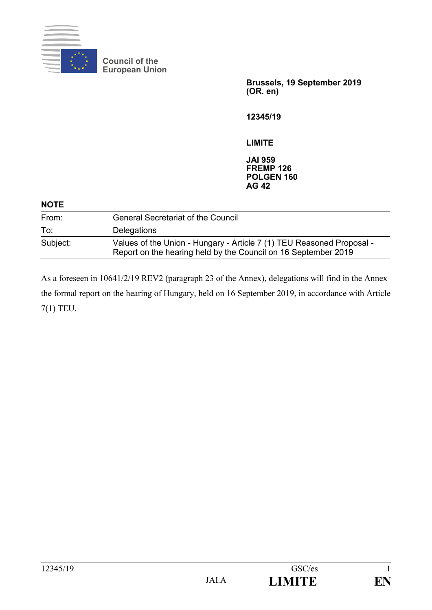

**Council of the European Union**

> **Brussels, 19 September 2019 (OR. en)**

**12345/19**

**LIMITE**

**JAI 959 FREMP 126 POLGEN 160 AG 42**

| <b>NOTE</b> |                                                                                                                                         |
|-------------|-----------------------------------------------------------------------------------------------------------------------------------------|
| From:       | <b>General Secretariat of the Council</b>                                                                                               |
| To:         | <b>Delegations</b>                                                                                                                      |
| Subject:    | Values of the Union - Hungary - Article 7 (1) TEU Reasoned Proposal -<br>Report on the hearing held by the Council on 16 September 2019 |

As a foreseen in 10641/2/19 REV2 (paragraph 23 of the Annex), delegations will find in the Annex the formal report on the hearing of Hungary, held on 16 September 2019, in accordance with Article 7(1) TEU.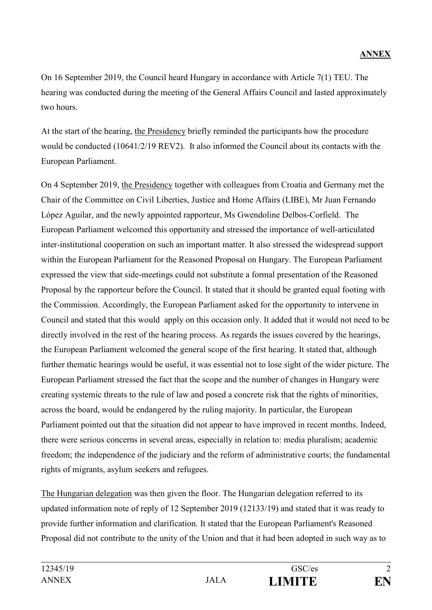On 16 September 2019, the Council heard Hungary in accordance with Article 7(1) TEU. The hearing was conducted during the meeting of the General Affairs Council and lasted approximately two hours.

At the start of the hearing, the Presidency briefly reminded the participants how the procedure would be conducted (10641/2/19 REV2). It also informed the Council about its contacts with the European Parliament.

On 4 September 2019, the Presidency together with colleagues from Croatia and Germany met the Chair of the Committee on Civil Liberties, Justice and Home Affairs (LIBE), Mr Juan Fernando López Aguilar, and the newly appointed rapporteur, Ms Gwendoline Delbos-Corfield. The European Parliament welcomed this opportunity and stressed the importance of well-articulated inter-institutional cooperation on such an important matter. It also stressed the widespread support within the European Parliament for the Reasoned Proposal on Hungary. The European Parliament expressed the view that side-meetings could not substitute a formal presentation of the Reasoned Proposal by the rapporteur before the Council. It stated that it should be granted equal footing with the Commission. Accordingly, the European Parliament asked for the opportunity to intervene in Council and stated that this would apply on this occasion only. It added that it would not need to be directly involved in the rest of the hearing process. As regards the issues covered by the hearings, the European Parliament welcomed the general scope of the first hearing. It stated that, although further thematic hearings would be useful, it was essential not to lose sight of the wider picture. The European Parliament stressed the fact that the scope and the number of changes in Hungary were creating systemic threats to the rule of law and posed a concrete risk that the rights of minorities, across the board, would be endangered by the ruling majority. In particular, the European Parliament pointed out that the situation did not appear to have improved in recent months. Indeed, there were serious concerns in several areas, especially in relation to: media pluralism; academic freedom; the independence of the judiciary and the reform of administrative courts; the fundamental rights of migrants, asylum seekers and refugees.

The Hungarian delegation was then given the floor. The Hungarian delegation referred to its updated information note of reply of 12 September 2019 (12133/19) and stated that it was ready to provide further information and clarification. It stated that the European Parliament's Reasoned Proposal did not contribute to the unity of the Union and that it had been adopted in such way as to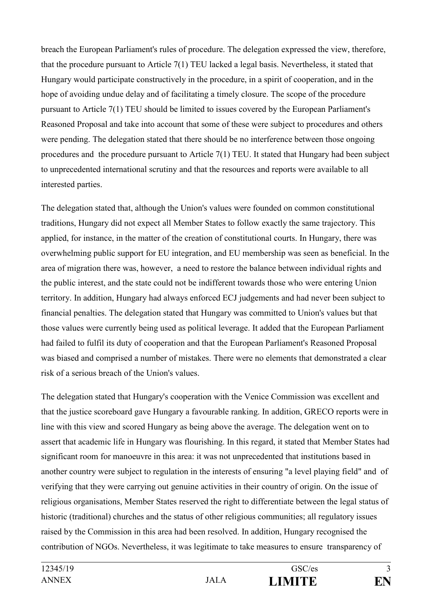breach the European Parliament's rules of procedure. The delegation expressed the view, therefore, that the procedure pursuant to Article 7(1) TEU lacked a legal basis. Nevertheless, it stated that Hungary would participate constructively in the procedure, in a spirit of cooperation, and in the hope of avoiding undue delay and of facilitating a timely closure. The scope of the procedure pursuant to Article 7(1) TEU should be limited to issues covered by the European Parliament's Reasoned Proposal and take into account that some of these were subject to procedures and others were pending. The delegation stated that there should be no interference between those ongoing procedures and the procedure pursuant to Article 7(1) TEU. It stated that Hungary had been subject to unprecedented international scrutiny and that the resources and reports were available to all interested parties.

The delegation stated that, although the Union's values were founded on common constitutional traditions, Hungary did not expect all Member States to follow exactly the same trajectory. This applied, for instance, in the matter of the creation of constitutional courts. In Hungary, there was overwhelming public support for EU integration, and EU membership was seen as beneficial. In the area of migration there was, however, a need to restore the balance between individual rights and the public interest, and the state could not be indifferent towards those who were entering Union territory. In addition, Hungary had always enforced ECJ judgements and had never been subject to financial penalties. The delegation stated that Hungary was committed to Union's values but that those values were currently being used as political leverage. It added that the European Parliament had failed to fulfil its duty of cooperation and that the European Parliament's Reasoned Proposal was biased and comprised a number of mistakes. There were no elements that demonstrated a clear risk of a serious breach of the Union's values.

The delegation stated that Hungary's cooperation with the Venice Commission was excellent and that the justice scoreboard gave Hungary a favourable ranking. In addition, GRECO reports were in line with this view and scored Hungary as being above the average. The delegation went on to assert that academic life in Hungary was flourishing. In this regard, it stated that Member States had significant room for manoeuvre in this area: it was not unprecedented that institutions based in another country were subject to regulation in the interests of ensuring "a level playing field" and of verifying that they were carrying out genuine activities in their country of origin. On the issue of religious organisations, Member States reserved the right to differentiate between the legal status of historic (traditional) churches and the status of other religious communities; all regulatory issues raised by the Commission in this area had been resolved. In addition, Hungary recognised the contribution of NGOs. Nevertheless, it was legitimate to take measures to ensure transparency of

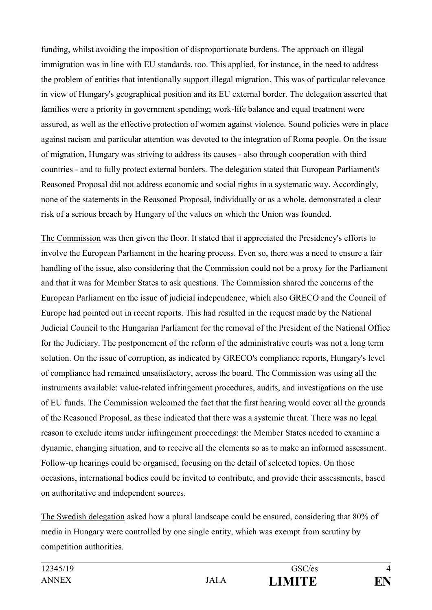funding, whilst avoiding the imposition of disproportionate burdens. The approach on illegal immigration was in line with EU standards, too. This applied, for instance, in the need to address the problem of entities that intentionally support illegal migration. This was of particular relevance in view of Hungary's geographical position and its EU external border. The delegation asserted that families were a priority in government spending; work-life balance and equal treatment were assured, as well as the effective protection of women against violence. Sound policies were in place against racism and particular attention was devoted to the integration of Roma people. On the issue of migration, Hungary was striving to address its causes - also through cooperation with third countries - and to fully protect external borders. The delegation stated that European Parliament's Reasoned Proposal did not address economic and social rights in a systematic way. Accordingly, none of the statements in the Reasoned Proposal, individually or as a whole, demonstrated a clear risk of a serious breach by Hungary of the values on which the Union was founded.

The Commission was then given the floor. It stated that it appreciated the Presidency's efforts to involve the European Parliament in the hearing process. Even so, there was a need to ensure a fair handling of the issue, also considering that the Commission could not be a proxy for the Parliament and that it was for Member States to ask questions. The Commission shared the concerns of the European Parliament on the issue of judicial independence, which also GRECO and the Council of Europe had pointed out in recent reports. This had resulted in the request made by the National Judicial Council to the Hungarian Parliament for the removal of the President of the National Office for the Judiciary. The postponement of the reform of the administrative courts was not a long term solution. On the issue of corruption, as indicated by GRECO's compliance reports, Hungary's level of compliance had remained unsatisfactory, across the board. The Commission was using all the instruments available: value-related infringement procedures, audits, and investigations on the use of EU funds. The Commission welcomed the fact that the first hearing would cover all the grounds of the Reasoned Proposal, as these indicated that there was a systemic threat. There was no legal reason to exclude items under infringement proceedings: the Member States needed to examine a dynamic, changing situation, and to receive all the elements so as to make an informed assessment. Follow-up hearings could be organised, focusing on the detail of selected topics. On those occasions, international bodies could be invited to contribute, and provide their assessments, based on authoritative and independent sources.

The Swedish delegation asked how a plural landscape could be ensured, considering that 80% of media in Hungary were controlled by one single entity, which was exempt from scrutiny by competition authorities.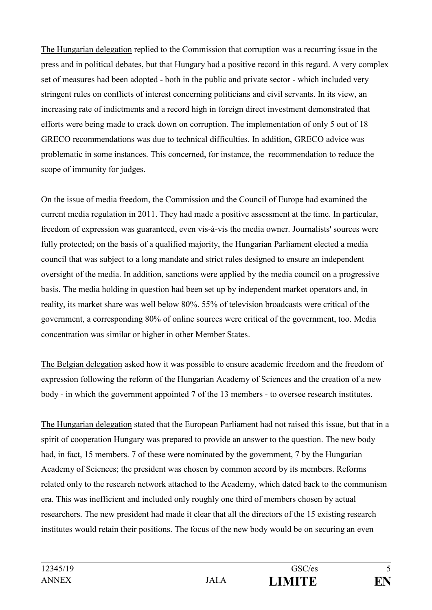The Hungarian delegation replied to the Commission that corruption was a recurring issue in the press and in political debates, but that Hungary had a positive record in this regard. A very complex set of measures had been adopted - both in the public and private sector - which included very stringent rules on conflicts of interest concerning politicians and civil servants. In its view, an increasing rate of indictments and a record high in foreign direct investment demonstrated that efforts were being made to crack down on corruption. The implementation of only 5 out of 18 GRECO recommendations was due to technical difficulties. In addition, GRECO advice was problematic in some instances. This concerned, for instance, the recommendation to reduce the scope of immunity for judges.

On the issue of media freedom, the Commission and the Council of Europe had examined the current media regulation in 2011. They had made a positive assessment at the time. In particular, freedom of expression was guaranteed, even vis-à-vis the media owner. Journalists' sources were fully protected; on the basis of a qualified majority, the Hungarian Parliament elected a media council that was subject to a long mandate and strict rules designed to ensure an independent oversight of the media. In addition, sanctions were applied by the media council on a progressive basis. The media holding in question had been set up by independent market operators and, in reality, its market share was well below 80%. 55% of television broadcasts were critical of the government, a corresponding 80% of online sources were critical of the government, too. Media concentration was similar or higher in other Member States.

The Belgian delegation asked how it was possible to ensure academic freedom and the freedom of expression following the reform of the Hungarian Academy of Sciences and the creation of a new body - in which the government appointed 7 of the 13 members - to oversee research institutes.

The Hungarian delegation stated that the European Parliament had not raised this issue, but that in a spirit of cooperation Hungary was prepared to provide an answer to the question. The new body had, in fact, 15 members. 7 of these were nominated by the government, 7 by the Hungarian Academy of Sciences; the president was chosen by common accord by its members. Reforms related only to the research network attached to the Academy, which dated back to the communism era. This was inefficient and included only roughly one third of members chosen by actual researchers. The new president had made it clear that all the directors of the 15 existing research institutes would retain their positions. The focus of the new body would be on securing an even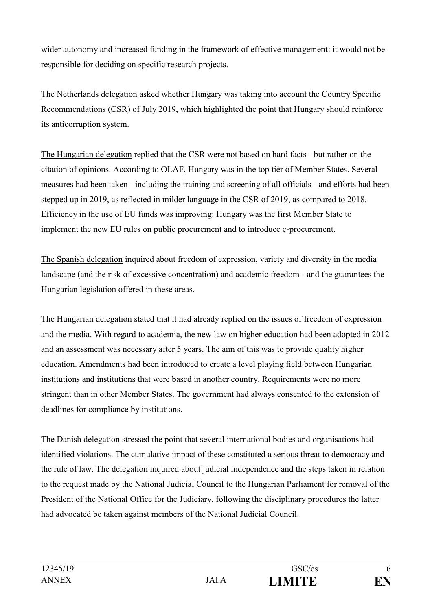wider autonomy and increased funding in the framework of effective management: it would not be responsible for deciding on specific research projects.

The Netherlands delegation asked whether Hungary was taking into account the Country Specific Recommendations (CSR) of July 2019, which highlighted the point that Hungary should reinforce its anticorruption system.

The Hungarian delegation replied that the CSR were not based on hard facts - but rather on the citation of opinions. According to OLAF, Hungary was in the top tier of Member States. Several measures had been taken - including the training and screening of all officials - and efforts had been stepped up in 2019, as reflected in milder language in the CSR of 2019, as compared to 2018. Efficiency in the use of EU funds was improving: Hungary was the first Member State to implement the new EU rules on public procurement and to introduce e-procurement.

The Spanish delegation inquired about freedom of expression, variety and diversity in the media landscape (and the risk of excessive concentration) and academic freedom - and the guarantees the Hungarian legislation offered in these areas.

The Hungarian delegation stated that it had already replied on the issues of freedom of expression and the media. With regard to academia, the new law on higher education had been adopted in 2012 and an assessment was necessary after 5 years. The aim of this was to provide quality higher education. Amendments had been introduced to create a level playing field between Hungarian institutions and institutions that were based in another country. Requirements were no more stringent than in other Member States. The government had always consented to the extension of deadlines for compliance by institutions.

The Danish delegation stressed the point that several international bodies and organisations had identified violations. The cumulative impact of these constituted a serious threat to democracy and the rule of law. The delegation inquired about judicial independence and the steps taken in relation to the request made by the National Judicial Council to the Hungarian Parliament for removal of the President of the National Office for the Judiciary, following the disciplinary procedures the latter had advocated be taken against members of the National Judicial Council.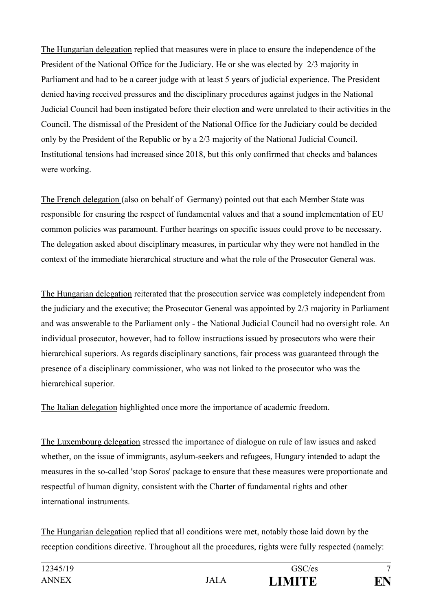The Hungarian delegation replied that measures were in place to ensure the independence of the President of the National Office for the Judiciary. He or she was elected by 2/3 majority in Parliament and had to be a career judge with at least 5 years of judicial experience. The President denied having received pressures and the disciplinary procedures against judges in the National Judicial Council had been instigated before their election and were unrelated to their activities in the Council. The dismissal of the President of the National Office for the Judiciary could be decided only by the President of the Republic or by a 2/3 majority of the National Judicial Council. Institutional tensions had increased since 2018, but this only confirmed that checks and balances were working.

The French delegation (also on behalf of Germany) pointed out that each Member State was responsible for ensuring the respect of fundamental values and that a sound implementation of EU common policies was paramount. Further hearings on specific issues could prove to be necessary. The delegation asked about disciplinary measures, in particular why they were not handled in the context of the immediate hierarchical structure and what the role of the Prosecutor General was.

The Hungarian delegation reiterated that the prosecution service was completely independent from the judiciary and the executive; the Prosecutor General was appointed by 2/3 majority in Parliament and was answerable to the Parliament only - the National Judicial Council had no oversight role. An individual prosecutor, however, had to follow instructions issued by prosecutors who were their hierarchical superiors. As regards disciplinary sanctions, fair process was guaranteed through the presence of a disciplinary commissioner, who was not linked to the prosecutor who was the hierarchical superior.

The Italian delegation highlighted once more the importance of academic freedom.

The Luxembourg delegation stressed the importance of dialogue on rule of law issues and asked whether, on the issue of immigrants, asylum-seekers and refugees, Hungary intended to adapt the measures in the so-called 'stop Soros' package to ensure that these measures were proportionate and respectful of human dignity, consistent with the Charter of fundamental rights and other international instruments.

The Hungarian delegation replied that all conditions were met, notably those laid down by the reception conditions directive. Throughout all the procedures, rights were fully respected (namely:

| 12345/19     |       | GSC/es        | $\overline{ }$ |
|--------------|-------|---------------|----------------|
| <b>ANNEX</b> | JAI.A | <b>LIMITE</b> | ГN.            |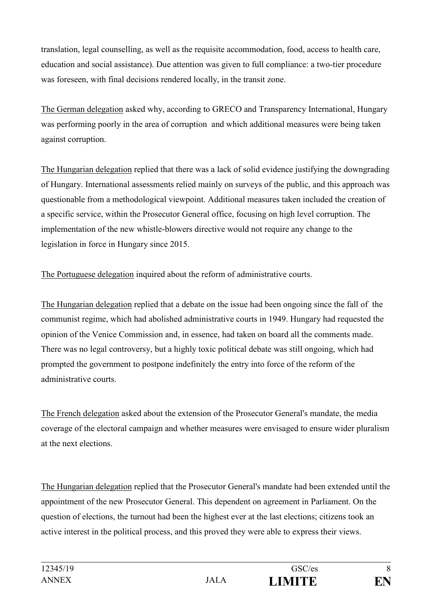translation, legal counselling, as well as the requisite accommodation, food, access to health care, education and social assistance). Due attention was given to full compliance: a two-tier procedure was foreseen, with final decisions rendered locally, in the transit zone.

The German delegation asked why, according to GRECO and Transparency International, Hungary was performing poorly in the area of corruption and which additional measures were being taken against corruption.

The Hungarian delegation replied that there was a lack of solid evidence justifying the downgrading of Hungary. International assessments relied mainly on surveys of the public, and this approach was questionable from a methodological viewpoint. Additional measures taken included the creation of a specific service, within the Prosecutor General office, focusing on high level corruption. The implementation of the new whistle-blowers directive would not require any change to the legislation in force in Hungary since 2015.

The Portuguese delegation inquired about the reform of administrative courts.

The Hungarian delegation replied that a debate on the issue had been ongoing since the fall of the communist regime, which had abolished administrative courts in 1949. Hungary had requested the opinion of the Venice Commission and, in essence, had taken on board all the comments made. There was no legal controversy, but a highly toxic political debate was still ongoing, which had prompted the government to postpone indefinitely the entry into force of the reform of the administrative courts.

The French delegation asked about the extension of the Prosecutor General's mandate, the media coverage of the electoral campaign and whether measures were envisaged to ensure wider pluralism at the next elections.

The Hungarian delegation replied that the Prosecutor General's mandate had been extended until the appointment of the new Prosecutor General. This dependent on agreement in Parliament. On the question of elections, the turnout had been the highest ever at the last elections; citizens took an active interest in the political process, and this proved they were able to express their views.